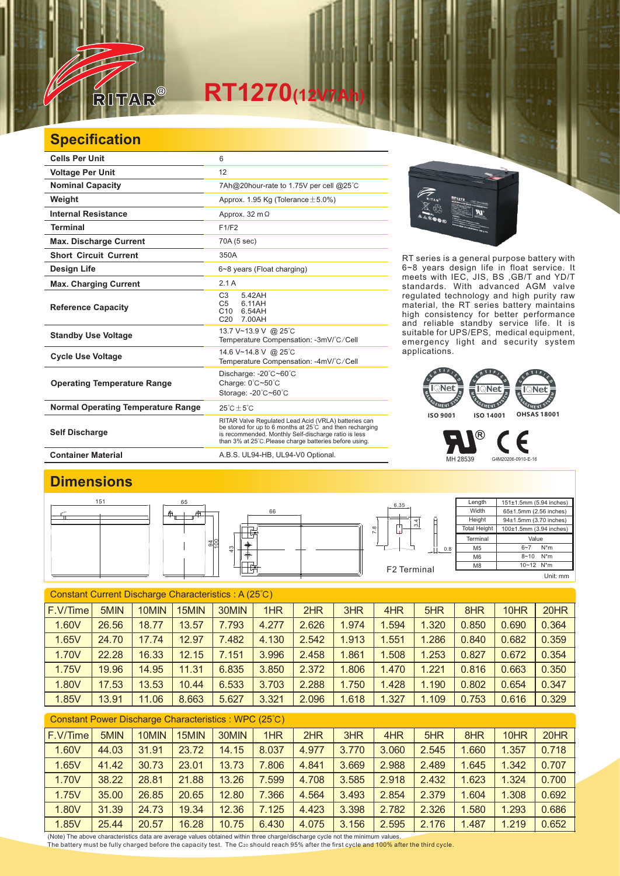

## **RT1270(12V7Ah)**

## **Specification**

| <b>Cells Per Unit</b>                     | 6                                                                                                                                                                                                                                  |  |  |  |  |  |
|-------------------------------------------|------------------------------------------------------------------------------------------------------------------------------------------------------------------------------------------------------------------------------------|--|--|--|--|--|
| <b>Voltage Per Unit</b>                   | 12                                                                                                                                                                                                                                 |  |  |  |  |  |
| <b>Nominal Capacity</b>                   | 7Ah@20hour-rate to 1.75V per cell @25°C                                                                                                                                                                                            |  |  |  |  |  |
| Weight                                    | Approx. 1.95 Kg (Tolerance $\pm$ 5.0%)                                                                                                                                                                                             |  |  |  |  |  |
| <b>Internal Resistance</b>                | Approx. 32 m $\Omega$                                                                                                                                                                                                              |  |  |  |  |  |
| <b>Terminal</b>                           | F1/F2                                                                                                                                                                                                                              |  |  |  |  |  |
| <b>Max. Discharge Current</b>             | 70A (5 sec)                                                                                                                                                                                                                        |  |  |  |  |  |
| <b>Short Circuit Current</b>              | 350A                                                                                                                                                                                                                               |  |  |  |  |  |
| <b>Design Life</b>                        | 6~8 years (Float charging)                                                                                                                                                                                                         |  |  |  |  |  |
| <b>Max. Charging Current</b>              | 2.1A                                                                                                                                                                                                                               |  |  |  |  |  |
| <b>Reference Capacity</b>                 | C <sub>3</sub><br>5.42AH<br>C <sub>5</sub><br>6.11AH<br>C10<br>6.54AH<br>C <sub>20</sub><br>7.00AH                                                                                                                                 |  |  |  |  |  |
| <b>Standby Use Voltage</b>                | 13.7 V~13.9 V @ 25°C<br>Temperature Compensation: -3mV/°C/Cell                                                                                                                                                                     |  |  |  |  |  |
| <b>Cycle Use Voltage</b>                  | 14.6 V~14.8 V @ 25°C<br>Temperature Compensation: -4mV/°C/Cell                                                                                                                                                                     |  |  |  |  |  |
| <b>Operating Temperature Range</b>        | Discharge: -20°C~60°C<br>Charge: 0°C~50°C<br>Storage: -20°C~60°C                                                                                                                                                                   |  |  |  |  |  |
| <b>Normal Operating Temperature Range</b> | $25^{\circ}$ C + $5^{\circ}$ C                                                                                                                                                                                                     |  |  |  |  |  |
| <b>Self Discharge</b>                     | RITAR Valve Regulated Lead Acid (VRLA) batteries can<br>be stored for up to 6 months at 25°C and then recharging<br>is recommended. Monthly Self-discharge ratio is less<br>than 3% at 25°C. Please charge batteries before using. |  |  |  |  |  |

RT series is a general purpose battery with 6~8 years design life in float service. It meets with IEC, JIS, BS ,GB/T and YD/T standards. With advanced AGM valve regulated technology and high purity raw material, the RT series battery maintains high consistency for better performance and reliable standby service life. It is suitable for UPS/EPS, medical equipment, emergency light and security system applications.



MH 28539 G4M20206-0910-E-16

® Е

Container Material **Container Material** A.B.S. UL94-HB, UL94-V0 Optional.

## **Dimensions**



| Constant Current Discharge Characteristics: A (25°C) |       |       |       |       |       |       |       |       |       |       |       |       |
|------------------------------------------------------|-------|-------|-------|-------|-------|-------|-------|-------|-------|-------|-------|-------|
| F.V/Time                                             | 5MIN  | 10MIN | 15MIN | 30MIN | 1HR   | 2HR   | 3HR   | 4HR   | 5HR   | 8HR   | 10HR  | 20HR  |
| 1.60V                                                | 26.56 | 18.77 | 13.57 | 7.793 | 4.277 | 2.626 | 1.974 | 1.594 | 1.320 | 0.850 | 0.690 | 0.364 |
| 1.65V                                                | 24.70 | 17.74 | 12.97 | 7.482 | 4.130 | 2.542 | 1.913 | 1.551 | 1.286 | 0.840 | 0.682 | 0.359 |
| 1.70V                                                | 22.28 | 16.33 | 12.15 | 7.151 | 3.996 | 2.458 | 1.861 | 1.508 | 1.253 | 0.827 | 0.672 | 0.354 |
| 1.75V                                                | 19.96 | 14.95 | 11.31 | 6.835 | 3.850 | 2.372 | .806  | 1.470 | 1.221 | 0.816 | 0.663 | 0.350 |
| 1.80V                                                | 17.53 | 13.53 | 10.44 | 6.533 | 3.703 | 2.288 | 1.750 | 1.428 | 1.190 | 0.802 | 0.654 | 0.347 |
| 1.85V                                                | 13.91 | 11.06 | 8.663 | 5.627 | 3.321 | 2.096 | 1.618 | 1.327 | 1.109 | 0.753 | 0.616 | 0.329 |

| Constant Power Discharge Characteristics : WPC (25°C) |       |       |       |       |       |       |       |       |       |       |       |       |
|-------------------------------------------------------|-------|-------|-------|-------|-------|-------|-------|-------|-------|-------|-------|-------|
| F.V/Time                                              | 5MIN  | 10MIN | 15MIN | 30MIN | 1HR   | 2HR   | 3HR   | 4HR   | 5HR   | 8HR   | 10HR  | 20HR  |
| 1.60V                                                 | 44.03 | 31.91 | 23.72 | 14.15 | 8.037 | 4.977 | 3.770 | 3.060 | 2.545 | 1.660 | 1.357 | 0.718 |
| 1.65V                                                 | 41.42 | 30.73 | 23.01 | 13.73 | .806  | 4.841 | 3.669 | 2.988 | 2.489 | 1.645 | 1.342 | 0.707 |
| 1.70V                                                 | 38.22 | 28.81 | 21.88 | 13.26 | .599  | 4.708 | 3.585 | 2.918 | 2.432 | 1.623 | 1.324 | 0.700 |
| 1.75V                                                 | 35.00 | 26.85 | 20.65 | 12.80 | .366  | 4.564 | 3.493 | 2.854 | 2.379 | 1.604 | 1.308 | 0.692 |
| 1.80V                                                 | 31.39 | 24.73 | 19.34 | 12.36 | 7.125 | 4.423 | 3.398 | 2.782 | 2.326 | 1.580 | 1.293 | 0.686 |
| 1.85V                                                 | 25.44 | 20.57 | 16.28 | 10.75 | 6.430 | 4.075 | 3.156 | 2.595 | 2.176 | 1.487 | 1.219 | 0.652 |

(Note) The above characteristics data are average values obtained within three charge/discharge cycle not the minimum values.<br><u>T</u>he battery must be fully charged before the capacity test. The C20 should reach 95% after th